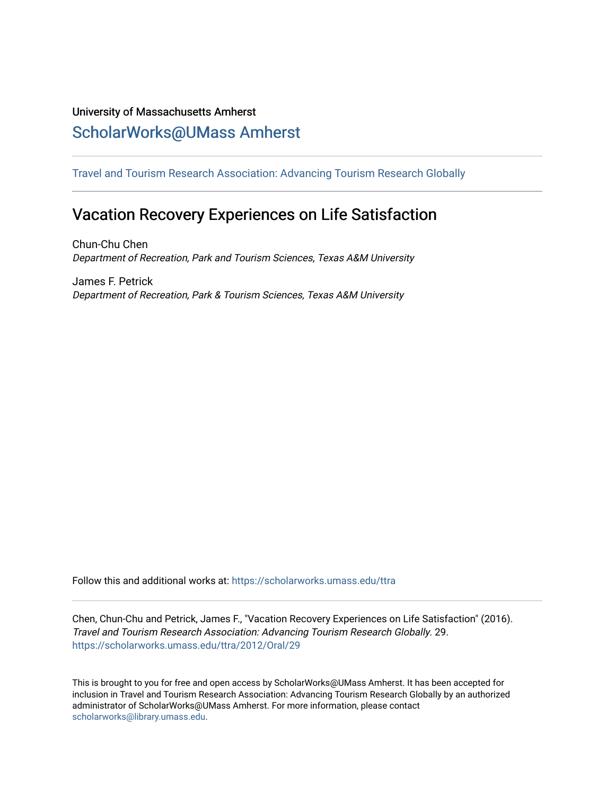## University of Massachusetts Amherst [ScholarWorks@UMass Amherst](https://scholarworks.umass.edu/)

[Travel and Tourism Research Association: Advancing Tourism Research Globally](https://scholarworks.umass.edu/ttra) 

# Vacation Recovery Experiences on Life Satisfaction

Chun-Chu Chen Department of Recreation, Park and Tourism Sciences, Texas A&M University

James F. Petrick Department of Recreation, Park & Tourism Sciences, Texas A&M University

Follow this and additional works at: [https://scholarworks.umass.edu/ttra](https://scholarworks.umass.edu/ttra?utm_source=scholarworks.umass.edu%2Fttra%2F2012%2FOral%2F29&utm_medium=PDF&utm_campaign=PDFCoverPages)

Chen, Chun-Chu and Petrick, James F., "Vacation Recovery Experiences on Life Satisfaction" (2016). Travel and Tourism Research Association: Advancing Tourism Research Globally. 29. [https://scholarworks.umass.edu/ttra/2012/Oral/29](https://scholarworks.umass.edu/ttra/2012/Oral/29?utm_source=scholarworks.umass.edu%2Fttra%2F2012%2FOral%2F29&utm_medium=PDF&utm_campaign=PDFCoverPages)

This is brought to you for free and open access by ScholarWorks@UMass Amherst. It has been accepted for inclusion in Travel and Tourism Research Association: Advancing Tourism Research Globally by an authorized administrator of ScholarWorks@UMass Amherst. For more information, please contact [scholarworks@library.umass.edu.](mailto:scholarworks@library.umass.edu)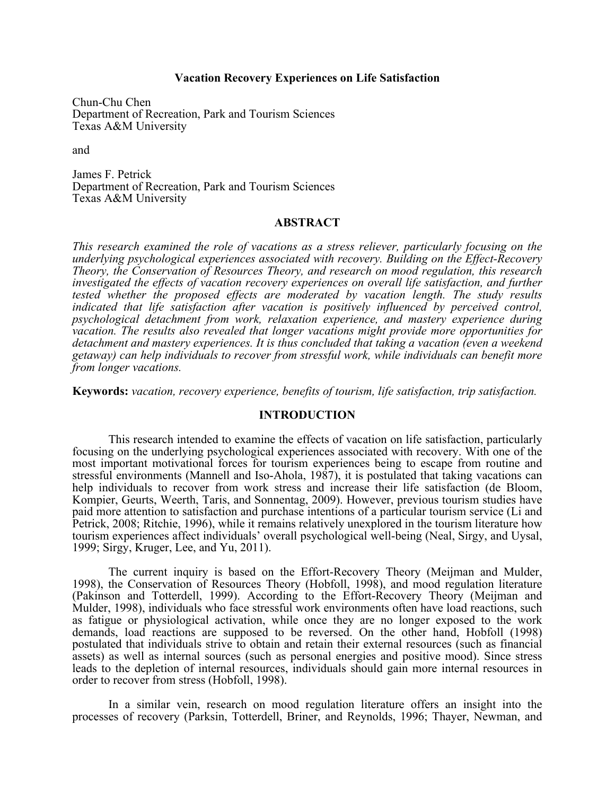#### **Vacation Recovery Experiences on Life Satisfaction**

Chun-Chu Chen Department of Recreation, Park and Tourism Sciences Texas A&M University

and

James F. Petrick Department of Recreation, Park and Tourism Sciences Texas A&M University

#### **ABSTRACT**

*This research examined the role of vacations as a stress reliever, particularly focusing on the underlying psychological experiences associated with recovery. Building on the Effect-Recovery Theory, the Conservation of Resources Theory, and research on mood regulation, this research investigated the effects of vacation recovery experiences on overall life satisfaction, and further tested whether the proposed effects are moderated by vacation length. The study results indicated that life satisfaction after vacation is positively influenced by perceived control, psychological detachment from work, relaxation experience, and mastery experience during vacation. The results also revealed that longer vacations might provide more opportunities for detachment and mastery experiences. It is thus concluded that taking a vacation (even a weekend getaway) can help individuals to recover from stressful work, while individuals can benefit more from longer vacations.* 

**Keywords:** *vacation, recovery experience, benefits of tourism, life satisfaction, trip satisfaction.*

#### **INTRODUCTION**

This research intended to examine the effects of vacation on life satisfaction, particularly focusing on the underlying psychological experiences associated with recovery. With one of the most important motivational forces for tourism experiences being to escape from routine and stressful environments (Mannell and Iso-Ahola, 1987), it is postulated that taking vacations can help individuals to recover from work stress and increase their life satisfaction (de Bloom, Kompier, Geurts, Weerth, Taris, and Sonnentag, 2009). However, previous tourism studies have paid more attention to satisfaction and purchase intentions of a particular tourism service (Li and Petrick, 2008; Ritchie, 1996), while it remains relatively unexplored in the tourism literature how tourism experiences affect individuals' overall psychological well-being (Neal, Sirgy, and Uysal, 1999; Sirgy, Kruger, Lee, and Yu, 2011).

The current inquiry is based on the Effort-Recovery Theory (Meijman and Mulder, 1998), the Conservation of Resources Theory (Hobfoll, 1998), and mood regulation literature (Pakinson and Totterdell, 1999). According to the Effort-Recovery Theory (Meijman and Mulder, 1998), individuals who face stressful work environments often have load reactions, such as fatigue or physiological activation, while once they are no longer exposed to the work demands, load reactions are supposed to be reversed. On the other hand, Hobfoll (1998) postulated that individuals strive to obtain and retain their external resources (such as financial assets) as well as internal sources (such as personal energies and positive mood). Since stress leads to the depletion of internal resources, individuals should gain more internal resources in order to recover from stress (Hobfoll, 1998).

In a similar vein, research on mood regulation literature offers an insight into the processes of recovery (Parksin, Totterdell, Briner, and Reynolds, 1996; Thayer, Newman, and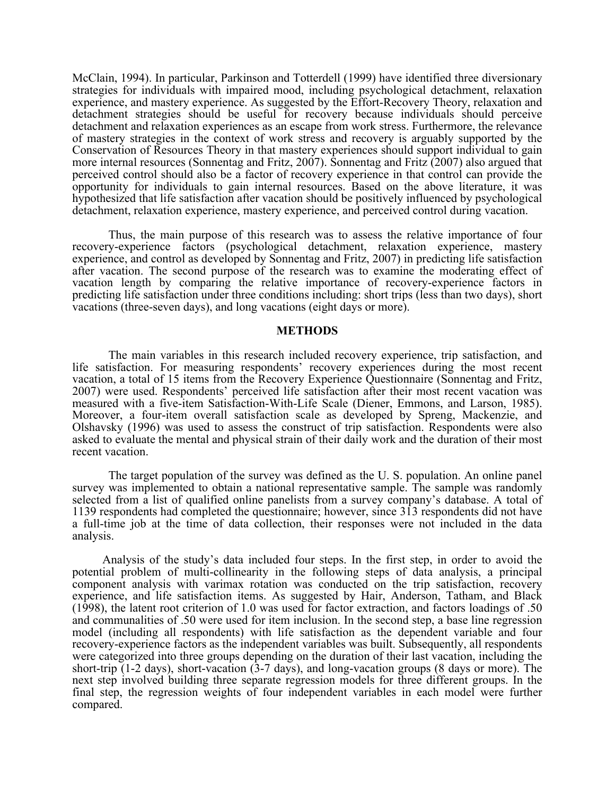McClain, 1994). In particular, Parkinson and Totterdell (1999) have identified three diversionary strategies for individuals with impaired mood, including psychological detachment, relaxation experience, and mastery experience. As suggested by the Effort-Recovery Theory, relaxation and detachment strategies should be useful for recovery because individuals should perceive detachment and relaxation experiences as an escape from work stress. Furthermore, the relevance of mastery strategies in the context of work stress and recovery is arguably supported by the Conservation of Resources Theory in that mastery experiences should support individual to gain more internal resources (Sonnentag and Fritz, 2007). Sonnentag and Fritz (2007) also argued that perceived control should also be a factor of recovery experience in that control can provide the opportunity for individuals to gain internal resources. Based on the above literature, it was hypothesized that life satisfaction after vacation should be positively influenced by psychological detachment, relaxation experience, mastery experience, and perceived control during vacation.

Thus, the main purpose of this research was to assess the relative importance of four recovery-experience factors (psychological detachment, relaxation experience, mastery experience, and control as developed by Sonnentag and Fritz, 2007) in predicting life satisfaction after vacation. The second purpose of the research was to examine the moderating effect of vacation length by comparing the relative importance of recovery-experience factors in predicting life satisfaction under three conditions including: short trips (less than two days), short vacations (three-seven days), and long vacations (eight days or more).

#### **METHODS**

The main variables in this research included recovery experience, trip satisfaction, and life satisfaction. For measuring respondents' recovery experiences during the most recent vacation, a total of 15 items from the Recovery Experience Questionnaire (Sonnentag and Fritz, 2007) were used. Respondents' perceived life satisfaction after their most recent vacation was measured with a five-item Satisfaction-With-Life Scale (Diener, Emmons, and Larson, 1985). Moreover, a four-item overall satisfaction scale as developed by Spreng, Mackenzie, and Olshavsky (1996) was used to assess the construct of trip satisfaction. Respondents were also asked to evaluate the mental and physical strain of their daily work and the duration of their most recent vacation.

 The target population of the survey was defined as the U. S. population. An online panel survey was implemented to obtain a national representative sample. The sample was randomly selected from a list of qualified online panelists from a survey company's database. A total of 1139 respondents had completed the questionnaire; however, since 313 respondents did not have a full-time job at the time of data collection, their responses were not included in the data analysis.

 Analysis of the study's data included four steps. In the first step, in order to avoid the potential problem of multi-collinearity in the following steps of data analysis, a principal component analysis with varimax rotation was conducted on the trip satisfaction, recovery experience, and life satisfaction items. As suggested by Hair, Anderson, Tatham, and Black (1998), the latent root criterion of 1.0 was used for factor extraction, and factors loadings of .50 and communalities of .50 were used for item inclusion. In the second step, a base line regression model (including all respondents) with life satisfaction as the dependent variable and four recovery-experience factors as the independent variables was built. Subsequently, all respondents were categorized into three groups depending on the duration of their last vacation, including the short-trip (1-2 days), short-vacation (3-7 days), and long-vacation groups (8 days or more). The next step involved building three separate regression models for three different groups. In the final step, the regression weights of four independent variables in each model were further compared.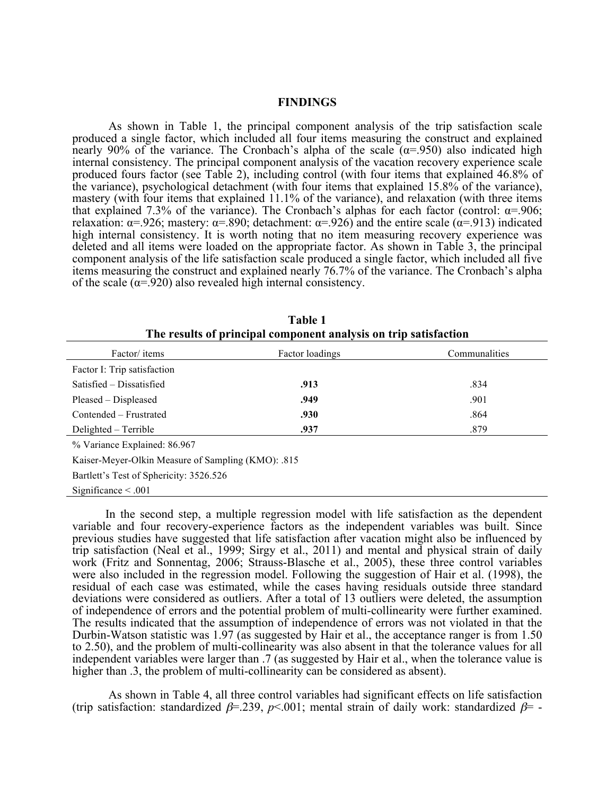#### **FINDINGS**

As shown in Table 1, the principal component analysis of the trip satisfaction scale produced a single factor, which included all four items measuring the construct and explained nearly 90% of the variance. The Cronbach's alpha of the scale  $(\alpha = .950)$  also indicated high internal consistency. The principal component analysis of the vacation recovery experience scale produced fours factor (see Table 2), including control (with four items that explained 46.8% of the variance), psychological detachment (with four items that explained 15.8% of the variance), mastery (with four items that explained 11.1% of the variance), and relaxation (with three items that explained 7.3% of the variance). The Cronbach's alphas for each factor (control:  $\alpha$ =.906; relaxation:  $\alpha$ =.926; mastery:  $\alpha$ =.890; detachment:  $\alpha$ =.926) and the entire scale ( $\alpha$ =.913) indicated high internal consistency. It is worth noting that no item measuring recovery experience was deleted and all items were loaded on the appropriate factor. As shown in Table 3, the principal component analysis of the life satisfaction scale produced a single factor, which included all five items measuring the construct and explained nearly 76.7% of the variance. The Cronbach's alpha of the scale ( $\alpha$ =.920) also revealed high internal consistency.

| Factor/ items                                      | Factor loadings | Communalities |  |  |  |  |  |
|----------------------------------------------------|-----------------|---------------|--|--|--|--|--|
| Factor I: Trip satisfaction                        |                 |               |  |  |  |  |  |
| Satisfied – Dissatisfied                           | .913            | .834          |  |  |  |  |  |
| Pleased – Displeased                               | .949            | .901          |  |  |  |  |  |
| Contended - Frustrated                             | .930            | .864          |  |  |  |  |  |
| Delighted – Terrible                               | .937            | .879          |  |  |  |  |  |
| % Variance Explained: 86.967                       |                 |               |  |  |  |  |  |
| Kaiser-Meyer-Olkin Measure of Sampling (KMO): .815 |                 |               |  |  |  |  |  |

**Table 1 The results of principal component analysis on trip satisfaction** 

Significance < .001

 In the second step, a multiple regression model with life satisfaction as the dependent variable and four recovery-experience factors as the independent variables was built. Since previous studies have suggested that life satisfaction after vacation might also be influenced by trip satisfaction (Neal et al., 1999; Sirgy et al., 2011) and mental and physical strain of daily work (Fritz and Sonnentag, 2006; Strauss-Blasche et al., 2005), these three control variables were also included in the regression model. Following the suggestion of Hair et al. (1998), the residual of each case was estimated, while the cases having residuals outside three standard deviations were considered as outliers. After a total of 13 outliers were deleted, the assumption of independence of errors and the potential problem of multi-collinearity were further examined. The results indicated that the assumption of independence of errors was not violated in that the Durbin-Watson statistic was 1.97 (as suggested by Hair et al., the acceptance ranger is from 1.50 to 2.50), and the problem of multi-collinearity was also absent in that the tolerance values for all independent variables were larger than .7 (as suggested by Hair et al., when the tolerance value is higher than .3, the problem of multi-collinearity can be considered as absent).

As shown in Table 4, all three control variables had significant effects on life satisfaction (trip satisfaction: standardized  $\beta$ =.239, *p*<.001; mental strain of daily work: standardized  $\beta$ =

Bartlett's Test of Sphericity: 3526.526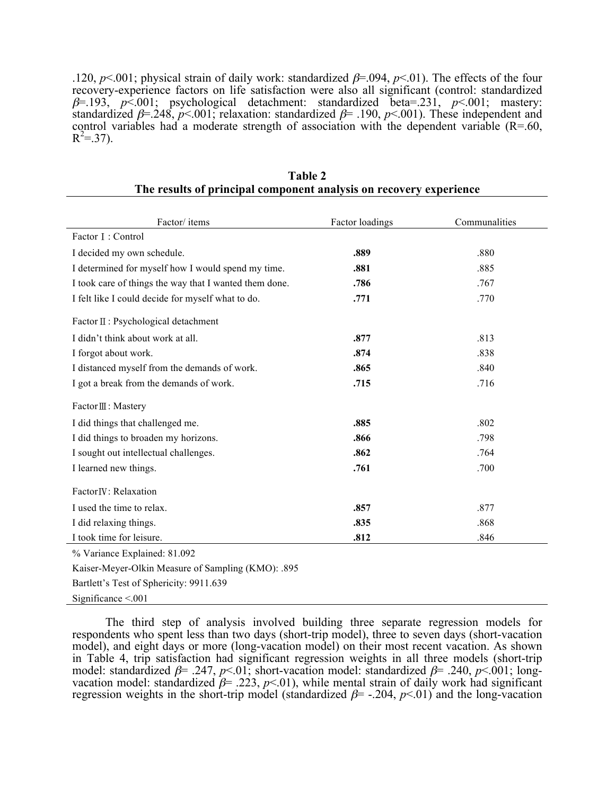.120,  $p \le 0.001$ ; physical strain of daily work: standardized  $\beta = 0.094$ ,  $p \le 0.01$ ). The effects of the four recovery-experience factors on life satisfaction were also all significant (control: standardized β=.193, *p*<.001; psychological detachment: standardized beta=.231, *p*<.001; mastery: standardized  $\beta$ =.248,  $p$ <.001; relaxation: standardized  $\beta$ =.190,  $p$ <.001). These independent and control variables had a moderate strength of association with the dependent variable  $(R=0.60, R=0.00)$  $R^2 = 37$ ).

| Factor/items                                           | Factor loadings | Communalities |
|--------------------------------------------------------|-----------------|---------------|
| Factor I: Control                                      |                 |               |
| I decided my own schedule.                             | .889            | .880          |
| I determined for myself how I would spend my time.     | .881            | .885          |
| I took care of things the way that I wanted them done. | .786            | .767          |
| I felt like I could decide for myself what to do.      | .771            | .770          |
| Factor II : Psychological detachment                   |                 |               |
| I didn't think about work at all.                      | .877            | .813          |
| I forgot about work.                                   | .874            | .838          |
| I distanced myself from the demands of work.           | .865            | .840          |
| I got a break from the demands of work.                | .715            | .716          |
| Factor Ⅲ: Mastery                                      |                 |               |
| I did things that challenged me.                       | .885            | .802          |
| I did things to broaden my horizons.                   | .866            | .798          |
| I sought out intellectual challenges.                  | .862            | .764          |
| I learned new things.                                  | .761            | .700          |
| Factor <sub>IV</sub> : Relaxation                      |                 |               |
| I used the time to relax.                              | .857            | .877          |
| I did relaxing things.                                 | .835            | .868          |
| I took time for leisure.                               | .812            | .846          |

**Table 2 The results of principal component analysis on recovery experience**

% Variance Explained: 81.092

Kaiser-Meyer-Olkin Measure of Sampling (KMO): .895

Bartlett's Test of Sphericity: 9911.639

Significance <.001

 The third step of analysis involved building three separate regression models for respondents who spent less than two days (short-trip model), three to seven days (short-vacation model), and eight days or more (long-vacation model) on their most recent vacation. As shown in Table 4, trip satisfaction had significant regression weights in all three models (short-trip model: standardized β= .247, *p*<.01; short-vacation model: standardized β= .240, *p*<.001; longvacation model: standardized  $\beta$ = .223,  $p$ <.01), while mental strain of daily work had significant regression weights in the short-trip model (standardized  $\beta$ = -.204,  $p$ <.01) and the long-vacation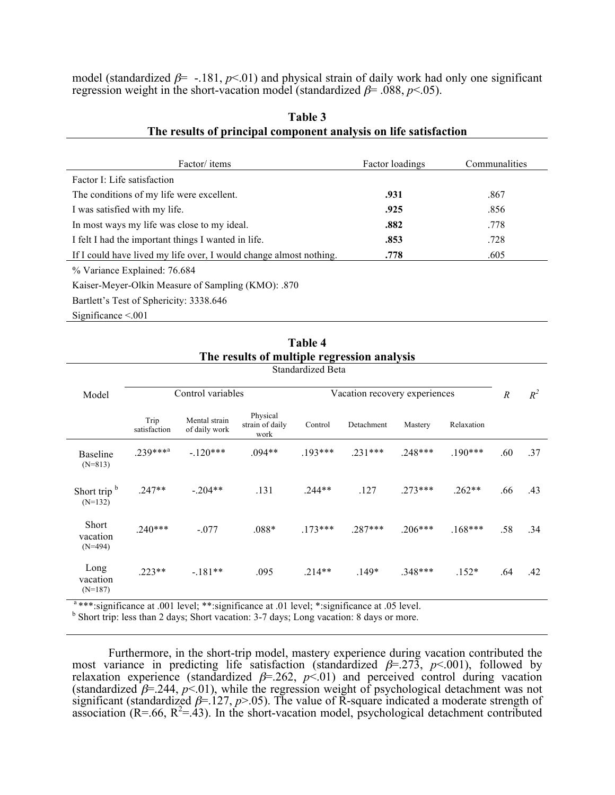model (standardized  $\beta$ = -.181,  $p$ <.01) and physical strain of daily work had only one significant regression weight in the short-vacation model (standardized  $\beta$ = .088, *p*<.05).

| Factor/ items                                                      | Factor loadings | Communalities |  |
|--------------------------------------------------------------------|-----------------|---------------|--|
| Factor I: Life satisfaction                                        |                 |               |  |
| The conditions of my life were excellent.                          | .931            | .867          |  |
| I was satisfied with my life.                                      | .925            | .856          |  |
| In most ways my life was close to my ideal.                        | .882            | .778          |  |
| I felt I had the important things I wanted in life.                | .853            | .728          |  |
| If I could have lived my life over, I would change almost nothing. | .778            | .605          |  |
| % Variance Explained: 76.684                                       |                 |               |  |
| Kaiser-Meyer-Olkin Measure of Sampling (KMO): .870                 |                 |               |  |
| Bartlett's Test of Sphericity: 3338.646                            |                 |               |  |
| Significance $\leq 0.001$                                          |                 |               |  |

### **Table 3 The results of principal component analysis on life satisfaction**

**Table 4 The results of multiple regression analysis** Standardized Beta

|                                      | Dianuaruizou Dota    |                                |                                     |           |            |                  |            |     |     |
|--------------------------------------|----------------------|--------------------------------|-------------------------------------|-----------|------------|------------------|------------|-----|-----|
| Model                                | Control variables    |                                | Vacation recovery experiences       |           |            | $\boldsymbol{R}$ | $R^2$      |     |     |
|                                      | Trip<br>satisfaction | Mental strain<br>of daily work | Physical<br>strain of daily<br>work | Control   | Detachment | Mastery          | Relaxation |     |     |
| <b>Baseline</b><br>$(N=813)$         | $.239***a$           | $-120***$                      | $.094**$                            | $.193***$ | $.231***$  | $.248***$        | $.190***$  | .60 | .37 |
| Short trip <sup>b</sup><br>$(N=132)$ | $.247**$             | $-.204**$                      | .131                                | $.244**$  | .127       | $.273***$        | $.262**$   | .66 | .43 |
| Short<br>vacation<br>$(N=494)$       | $.240***$            | $-.077$                        | $.088*$                             | $.173***$ | $.287***$  | $.206***$        | $.168***$  | .58 | .34 |
| Long                                 | $.223**$             | $-.181**$                      | .095                                | $.214**$  | $.149*$    | $.348***$        | $.152*$    | .64 | .42 |

a \*\*\*:significance at .001 level; \*\*:significance at .01 level; \*:significance at .05 level.

vacation (N=187)

<sup>b</sup> Short trip: less than 2 days; Short vacation: 3-7 days; Long vacation: 8 days or more.

Furthermore, in the short-trip model, mastery experience during vacation contributed the most variance in predicting life satisfaction (standardized  $\beta$ =.273,  $p$ <.001), followed by relaxation experience (standardized  $\beta$ =.262,  $p$ <.01) and perceived control during vacation (standardized  $\beta$ =.244,  $p$ <.01), while the regression weight of psychological detachment was not significant (standardized  $\beta = 127$ ,  $p > 05$ ). The value of R-square indicated a moderate strength of association  $(R=66, R^2=43)$ . In the short-vacation model, psychological detachment contributed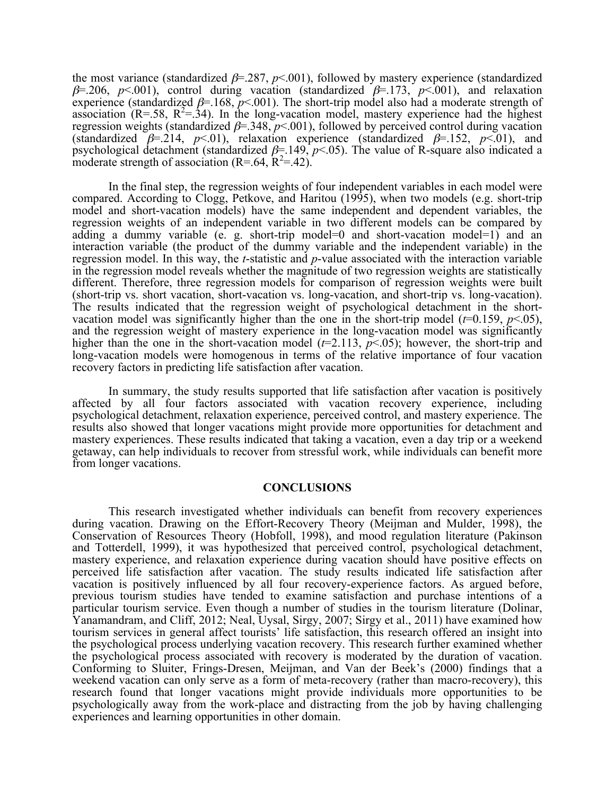the most variance (standardized  $\beta$ =.287,  $p$ <.001), followed by mastery experience (standardized  $\beta$ =.206,  $p$ <.001), control during vacation (standardized  $\beta$ =.173,  $p$ <.001), and relaxation experience (standardized  $\beta$ =.168,  $p$ <.001). The short-trip model also had a moderate strength of association  $(R=58, R^2=34)$ . In the long-vacation model, mastery experience had the highest regression weights (standardized  $\beta$ =.348,  $p$ <.001), followed by perceived control during vacation (standardized  $\beta = 214$ ,  $p < 01$ ), relaxation experience (standardized  $\beta = 152$ ,  $p < 01$ ), and psychological detachment (standardized  $\beta$ =.149,  $p$ <.05). The value of R-square also indicated a moderate strength of association  $(R=.64, R^2=.42)$ .

In the final step, the regression weights of four independent variables in each model were compared. According to Clogg, Petkove, and Haritou (1995), when two models (e.g. short-trip model and short-vacation models) have the same independent and dependent variables, the regression weights of an independent variable in two different models can be compared by adding a dummy variable (e. g. short-trip model=0 and short-vacation model=1) and an interaction variable (the product of the dummy variable and the independent variable) in the regression model. In this way, the *t*-statistic and *p*-value associated with the interaction variable in the regression model reveals whether the magnitude of two regression weights are statistically different. Therefore, three regression models for comparison of regression weights were built (short-trip vs. short vacation, short-vacation vs. long-vacation, and short-trip vs. long-vacation). The results indicated that the regression weight of psychological detachment in the short-vacation model was significantly higher than the one in the short-trip model ( $t=0.159$ ,  $p<.05$ ), and the regression weight of mastery experience in the long-vacation model was significantly higher than the one in the short-vacation model ( $t=2.113$ ,  $p<0.05$ ); however, the short-trip and long-vacation models were homogenous in terms of the relative importance of four vacation recovery factors in predicting life satisfaction after vacation.

 In summary, the study results supported that life satisfaction after vacation is positively affected by all four factors associated with vacation recovery experience, including psychological detachment, relaxation experience, perceived control, and mastery experience. The results also showed that longer vacations might provide more opportunities for detachment and mastery experiences. These results indicated that taking a vacation, even a day trip or a weekend getaway, can help individuals to recover from stressful work, while individuals can benefit more from longer vacations.

#### **CONCLUSIONS**

This research investigated whether individuals can benefit from recovery experiences during vacation. Drawing on the Effort-Recovery Theory (Meijman and Mulder, 1998), the Conservation of Resources Theory (Hobfoll, 1998), and mood regulation literature (Pakinson and Totterdell, 1999), it was hypothesized that perceived control, psychological detachment, mastery experience, and relaxation experience during vacation should have positive effects on perceived life satisfaction after vacation. The study results indicated life satisfaction after vacation is positively influenced by all four recovery-experience factors. As argued before, previous tourism studies have tended to examine satisfaction and purchase intentions of a particular tourism service. Even though a number of studies in the tourism literature (Dolinar, Yanamandram, and Cliff, 2012; Neal, Uysal, Sirgy, 2007; Sirgy et al., 2011) have examined how tourism services in general affect tourists' life satisfaction, this research offered an insight into the psychological process underlying vacation recovery. This research further examined whether the psychological process associated with recovery is moderated by the duration of vacation. Conforming to Sluiter, Frings-Dresen, Meijman, and Van der Beek's (2000) findings that a weekend vacation can only serve as a form of meta-recovery (rather than macro-recovery), this research found that longer vacations might provide individuals more opportunities to be psychologically away from the work-place and distracting from the job by having challenging experiences and learning opportunities in other domain.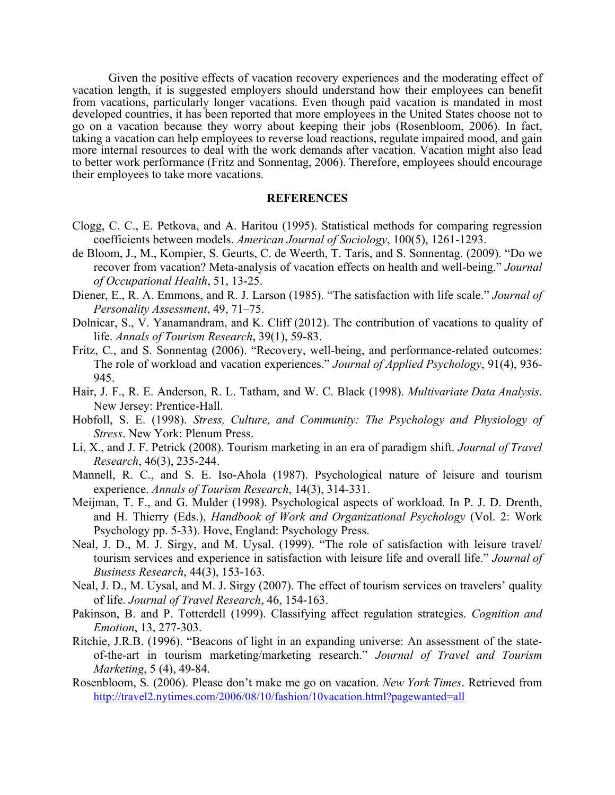Given the positive effects of vacation recovery experiences and the moderating effect of vacation length, it is suggested employers should understand how their employees can benefit from vacations, particularly longer vacations. Even though paid vacation is mandated in most developed countries, it has been reported that more employees in the United States choose not to go on a vacation because they worry about keeping their jobs (Rosenbloom, 2006). In fact, taking a vacation can help employees to reverse load reactions, regulate impaired mood, and gain more internal resources to deal with the work demands after vacation. Vacation might also lead to better work performance (Fritz and Sonnentag, 2006). Therefore, employees should encourage their employees to take more vacations.

#### **REFERENCES**

- Clogg, C. C., E. Petkova, and A. Haritou (1995). Statistical methods for comparing regression coefficients between models. *American Journal of Sociology*, 100(5), 1261-1293.
- de Bloom, J., M., Kompier, S. Geurts, C. de Weerth, T. Taris, and S. Sonnentag. (2009). "Do we recover from vacation? Meta-analysis of vacation effects on health and well-being." *Journal of Occupational Health*, 51, 13-25.
- Diener, E., R. A. Emmons, and R. J. Larson (1985). "The satisfaction with life scale." *Journal of Personality Assessment*, 49, 71–75.
- Dolnicar, S., V. Yanamandram, and K. Cliff (2012). The contribution of vacations to quality of life. *Annals of Tourism Research*, 39(1), 59-83.
- Fritz, C., and S. Sonnentag (2006). "Recovery, well-being, and performance-related outcomes: The role of workload and vacation experiences." *Journal of Applied Psychology*, 91(4), 936- 945.
- Hair, J. F., R. E. Anderson, R. L. Tatham, and W. C. Black (1998). *Multivariate Data Analysis*. New Jersey: Prentice-Hall.
- Hobfoll, S. E. (1998). *Stress, Culture, and Community: The Psychology and Physiology of Stress*. New York: Plenum Press.
- Li, X., and J. F. Petrick (2008). Tourism marketing in an era of paradigm shift. *Journal of Travel Research*, 46(3), 235-244.
- Mannell, R. C., and S. E. Iso-Ahola (1987). Psychological nature of leisure and tourism experience. *Annals of Tourism Research*, 14(3), 314-331.
- Meijman, T. F., and G. Mulder (1998). Psychological aspects of workload. In P. J. D. Drenth, and H. Thierry (Eds.), *Handbook of Work and Organizational Psychology* (Vol. 2: Work Psychology pp. 5-33). Hove, England: Psychology Press.
- Neal, J. D., M. J. Sirgy, and M. Uysal. (1999). "The role of satisfaction with leisure travel/ tourism services and experience in satisfaction with leisure life and overall life." *Journal of Business Research*, 44(3), 153-163.
- Neal, J. D., M. Uysal, and M. J. Sirgy (2007). The effect of tourism services on travelers' quality of life. *Journal of Travel Research*, 46, 154-163.
- Pakinson, B. and P. Totterdell (1999). Classifying affect regulation strategies. *Cognition and Emotion*, 13, 277-303.
- Ritchie, J.R.B. (1996). "Beacons of light in an expanding universe: An assessment of the stateof-the-art in tourism marketing/marketing research." *Journal of Travel and Tourism Marketing*, 5 (4), 49-84.
- Rosenbloom, S. (2006). Please don't make me go on vacation. *New York Times*. Retrieved from http://travel2.nytimes.com/2006/08/10/fashion/10vacation.html?pagewanted=all